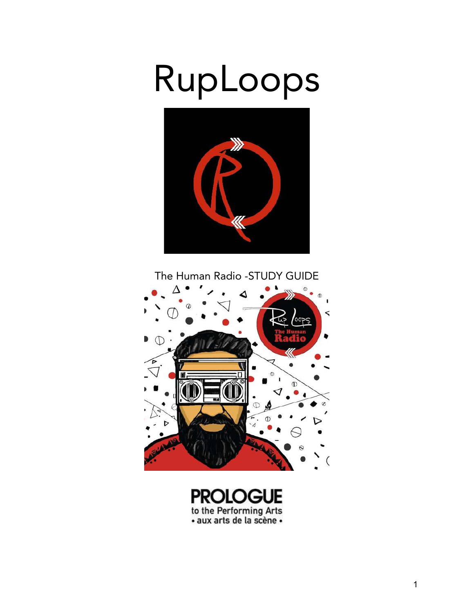## RupLoops



The Human Radio -STUDY GUIDE



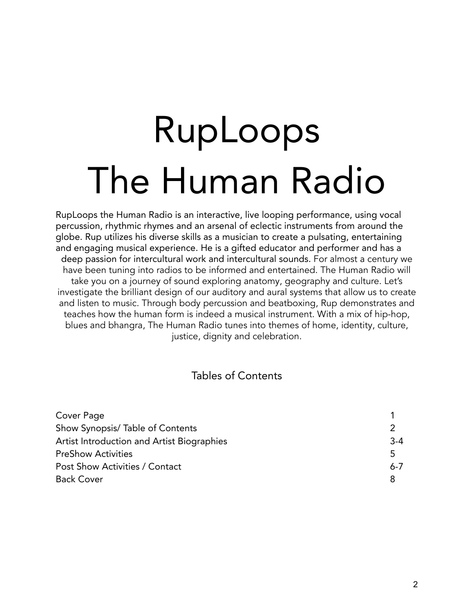# RupLoops The Human Radio

RupLoops the Human Radio is an interactive, live looping performance, using vocal percussion, rhythmic rhymes and an arsenal of eclectic instruments from around the globe. Rup utilizes his diverse skills as a musician to create a pulsating, entertaining and engaging musical experience. He is a gifted educator and performer and has a deep passion for intercultural work and intercultural sounds. For almost a century we have been tuning into radios to be informed and entertained. The Human Radio will take you on a journey of sound exploring anatomy, geography and culture. Let's investigate the brilliant design of our auditory and aural systems that allow us to create and listen to music. Through body percussion and beatboxing, Rup demonstrates and teaches how the human form is indeed a musical instrument. With a mix of hip-hop, blues and bhangra, The Human Radio tunes into themes of home, identity, culture, justice, dignity and celebration.

#### Tables of Contents

| Cover Page                                 |         |
|--------------------------------------------|---------|
| Show Synopsis/Table of Contents            |         |
| Artist Introduction and Artist Biographies | $3 - 4$ |
| <b>PreShow Activities</b>                  | .5      |
| Post Show Activities / Contact             | $6 - 7$ |
| <b>Back Cover</b>                          |         |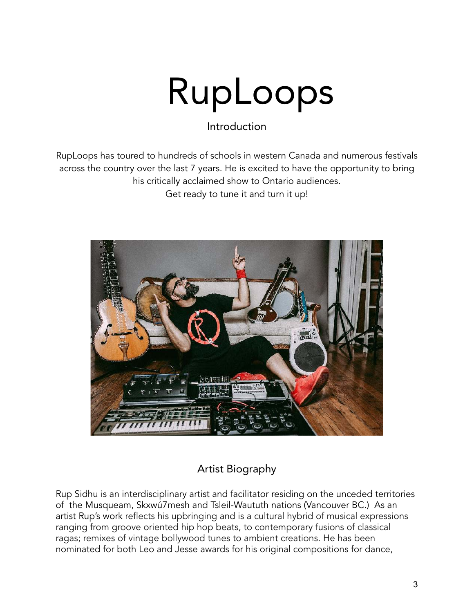# RupLoops

Introduction

RupLoops has toured to hundreds of schools in western Canada and numerous festivals across the country over the last 7 years. He is excited to have the opportunity to bring his critically acclaimed show to Ontario audiences. Get ready to tune it and turn it up!



#### Artist Biography

Rup Sidhu is an interdisciplinary artist and facilitator residing on the unceded territories of the Musqueam, Skxwú7mesh and Tsleil-Waututh nations (Vancouver BC.) As an artist Rup's work reflects his upbringing and is a cultural hybrid of musical expressions ranging from groove oriented hip hop beats, to contemporary fusions of classical ragas; remixes of vintage bollywood tunes to ambient creations. He has been nominated for both Leo and Jesse awards for his original compositions for dance,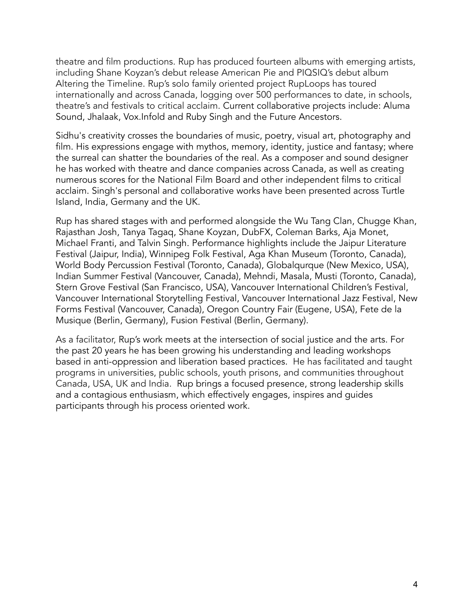theatre and film productions. Rup has produced fourteen albums with emerging artists, including Shane Koyzan's debut release American Pie and PIQSIQ's debut album Altering the Timeline. Rup's solo family oriented project RupLoops has toured internationally and across Canada, logging over 500 performances to date, in schools, theatre's and festivals to critical acclaim. Current collaborative projects include: Aluma Sound, Jhalaak, Vox.Infold and Ruby Singh and the Future Ancestors.

Sidhu's creativity crosses the boundaries of music, poetry, visual art, photography and film. His expressions engage with mythos, memory, identity, justice and fantasy; where the surreal can shatter the boundaries of the real. As a composer and sound designer he has worked with theatre and dance companies across Canada, as well as creating numerous scores for the National Film Board and other independent films to critical acclaim. Singh's personal and collaborative works have been presented across Turtle Island, India, Germany and the UK.

Rup has shared stages with and performed alongside the Wu Tang Clan, Chugge Khan, Rajasthan Josh, Tanya Tagaq, Shane Koyzan, DubFX, Coleman Barks, Aja Monet, Michael Franti, and Talvin Singh. Performance highlights include the Jaipur Literature Festival (Jaipur, India), Winnipeg Folk Festival, Aga Khan Museum (Toronto, Canada), World Body Percussion Festival (Toronto, Canada), Globalqurque (New Mexico, USA), Indian Summer Festival (Vancouver, Canada), Mehndi, Masala, Musti (Toronto, Canada), Stern Grove Festival (San Francisco, USA), Vancouver International Children's Festival, Vancouver International Storytelling Festival, Vancouver International Jazz Festival, New Forms Festival (Vancouver, Canada), Oregon Country Fair (Eugene, USA), Fete de la Musique (Berlin, Germany), Fusion Festival (Berlin, Germany).

As a facilitator, Rup's work meets at the intersection of social justice and the arts. For the past 20 years he has been growing his understanding and leading workshops based in anti-oppression and liberation based practices. He has facilitated and taught programs in universities, public schools, youth prisons, and communities throughout Canada, USA, UK and India. Rup brings a focused presence, strong leadership skills and a contagious enthusiasm, which effectively engages, inspires and guides participants through his process oriented work.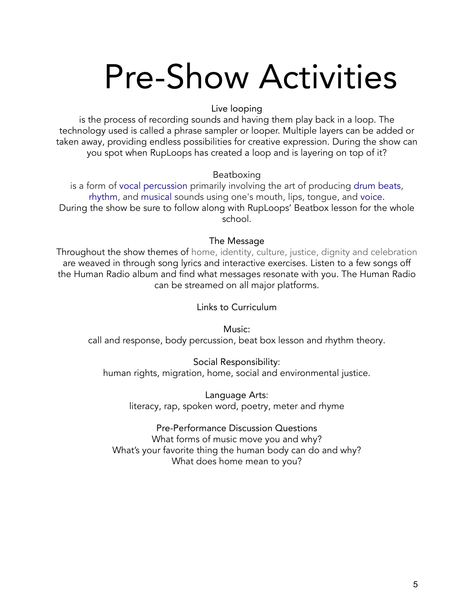### Pre-Show Activities

#### Live looping

is the process of recording sounds and having them play back in a loop. The technology used is called a phrase sampler or looper. Multiple layers can be added or taken away, providing endless possibilities for creative expression. During the show can you spot when RupLoops has created a loop and is layering on top of it?

#### Beatboxing

is a form of vocal percussion primarily involving the art of producing drum beats, rhythm, and musical sounds using one's mouth, lips, tongue, and voice. During the show be sure to follow along with RupLoops' Beatbox lesson for the whole school.

#### The Message

Throughout the show themes of home, identity, culture, justice, dignity and celebration are weaved in through song lyrics and interactive exercises. Listen to a few songs off the Human Radio album and find what messages resonate with you. The Human Radio can be streamed on all major platforms.

Links to Curriculum

Music: call and response, body percussion, beat box lesson and rhythm theory.

Social Responsibility: human rights, migration, home, social and environmental justice.

Language Arts: literacy, rap, spoken word, poetry, meter and rhyme

Pre-Performance Discussion Questions What forms of music move you and why? What's your favorite thing the human body can do and why? What does home mean to you?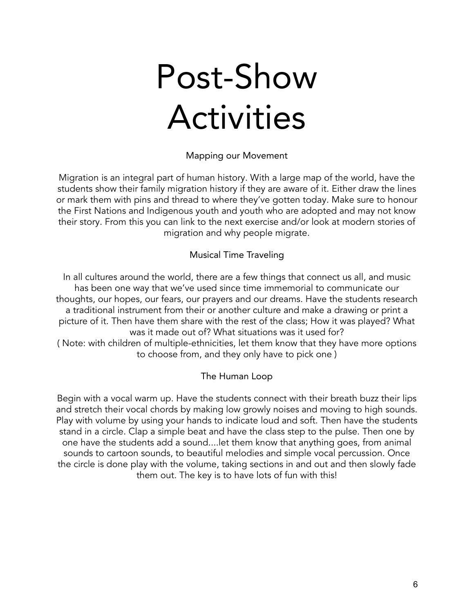### Post-Show Activities

Mapping our Movement

Migration is an integral part of human history. With a large map of the world, have the students show their family migration history if they are aware of it. Either draw the lines or mark them with pins and thread to where they've gotten today. Make sure to honour the First Nations and Indigenous youth and youth who are adopted and may not know their story. From this you can link to the next exercise and/or look at modern stories of migration and why people migrate.

#### Musical Time Traveling

In all cultures around the world, there are a few things that connect us all, and music has been one way that we've used since time immemorial to communicate our thoughts, our hopes, our fears, our prayers and our dreams. Have the students research a traditional instrument from their or another culture and make a drawing or print a picture of it. Then have them share with the rest of the class; How it was played? What was it made out of? What situations was it used for? ( Note: with children of multiple-ethnicities, let them know that they have more options to choose from, and they only have to pick one )

#### The Human Loop

Begin with a vocal warm up. Have the students connect with their breath buzz their lips and stretch their vocal chords by making low growly noises and moving to high sounds. Play with volume by using your hands to indicate loud and soft. Then have the students stand in a circle. Clap a simple beat and have the class step to the pulse. Then one by one have the students add a sound....let them know that anything goes, from animal sounds to cartoon sounds, to beautiful melodies and simple vocal percussion. Once the circle is done play with the volume, taking sections in and out and then slowly fade them out. The key is to have lots of fun with this!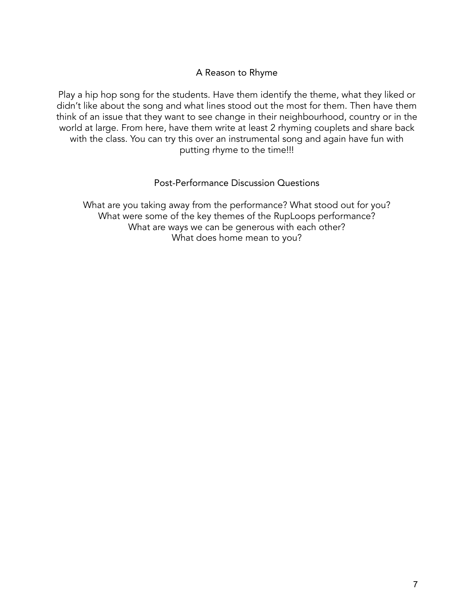#### A Reason to Rhyme

Play a hip hop song for the students. Have them identify the theme, what they liked or didn't like about the song and what lines stood out the most for them. Then have them think of an issue that they want to see change in their neighbourhood, country or in the world at large. From here, have them write at least 2 rhyming couplets and share back with the class. You can try this over an instrumental song and again have fun with putting rhyme to the time!!!

Post-Performance Discussion Questions

What are you taking away from the performance? What stood out for you? What were some of the key themes of the RupLoops performance? What are ways we can be generous with each other? What does home mean to you?